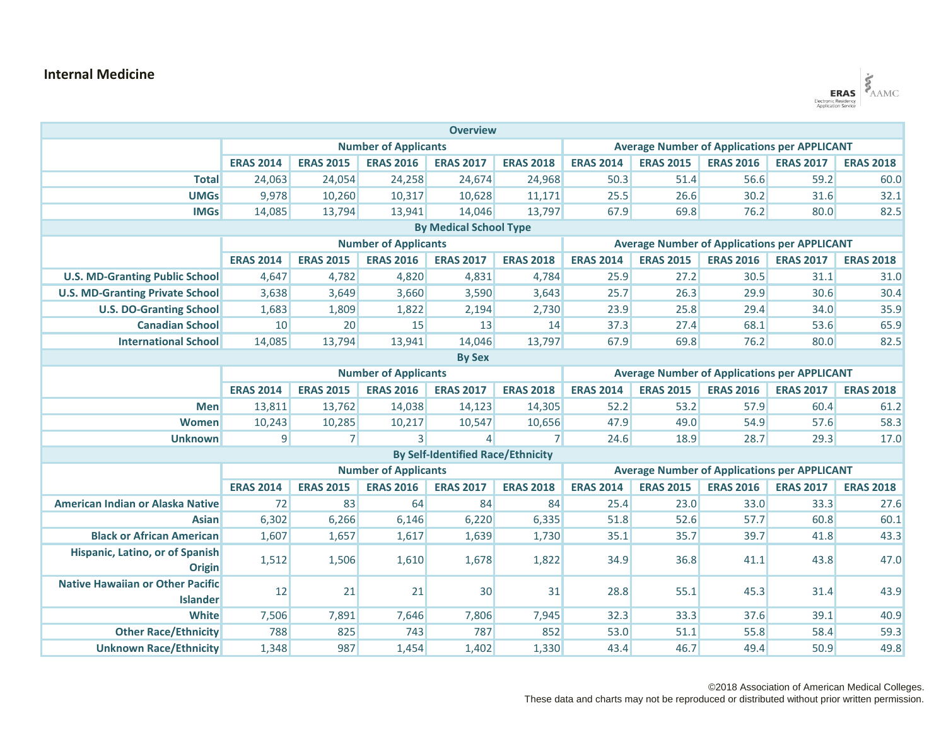## **Internal Medicine**



| <b>Overview</b>                         |                             |                  |                  |                                          |                                                     |                                                     |                  |                  |                  |                  |  |
|-----------------------------------------|-----------------------------|------------------|------------------|------------------------------------------|-----------------------------------------------------|-----------------------------------------------------|------------------|------------------|------------------|------------------|--|
|                                         | <b>Number of Applicants</b> |                  |                  |                                          |                                                     | <b>Average Number of Applications per APPLICANT</b> |                  |                  |                  |                  |  |
|                                         | <b>ERAS 2014</b>            | <b>ERAS 2015</b> | <b>ERAS 2016</b> | <b>ERAS 2017</b>                         | <b>ERAS 2018</b>                                    | <b>ERAS 2014</b>                                    | <b>ERAS 2015</b> | <b>ERAS 2016</b> | <b>ERAS 2017</b> | <b>ERAS 2018</b> |  |
| <b>Total</b>                            | 24,063                      | 24,054           | 24,258           | 24,674                                   | 24,968                                              | 50.3                                                | 51.4             | 56.6             | 59.2             | 60.0             |  |
| <b>UMGs</b>                             | 9,978                       | 10,260           | 10,317           | 10,628                                   | 11,171                                              | 25.5                                                | 26.6             | 30.2             | 31.6             | 32.1             |  |
| <b>IMGs</b>                             | 14,085                      | 13,794           | 13,941           | 14,046                                   | 13,797                                              | 67.9                                                | 69.8             | 76.2             | 80.0             | 82.5             |  |
| <b>By Medical School Type</b>           |                             |                  |                  |                                          |                                                     |                                                     |                  |                  |                  |                  |  |
|                                         | <b>Number of Applicants</b> |                  |                  |                                          | <b>Average Number of Applications per APPLICANT</b> |                                                     |                  |                  |                  |                  |  |
|                                         | <b>ERAS 2014</b>            | <b>ERAS 2015</b> | <b>ERAS 2016</b> | <b>ERAS 2017</b>                         | <b>ERAS 2018</b>                                    | <b>ERAS 2014</b>                                    | <b>ERAS 2015</b> | <b>ERAS 2016</b> | <b>ERAS 2017</b> | <b>ERAS 2018</b> |  |
| <b>U.S. MD-Granting Public School</b>   | 4,647                       | 4,782            | 4,820            | 4,831                                    | 4,784                                               | 25.9                                                | 27.2             | 30.5             | 31.1             | 31.0             |  |
| <b>U.S. MD-Granting Private School</b>  | 3,638                       | 3,649            | 3,660            | 3,590                                    | 3,643                                               | 25.7                                                | 26.3             | 29.9             | 30.6             | 30.4             |  |
| <b>U.S. DO-Granting School</b>          | 1,683                       | 1,809            | 1,822            | 2,194                                    | 2,730                                               | 23.9                                                | 25.8             | 29.4             | 34.0             | 35.9             |  |
| <b>Canadian School</b>                  | 10                          | 20               | 15               | 13                                       | 14                                                  | 37.3                                                | 27.4             | 68.1             | 53.6             | 65.9             |  |
| <b>International School</b>             | 14,085                      | 13,794           | 13,941           | 14,046                                   | 13,797                                              | 67.9                                                | 69.8             | 76.2             | 80.0             | 82.5             |  |
| <b>By Sex</b>                           |                             |                  |                  |                                          |                                                     |                                                     |                  |                  |                  |                  |  |
|                                         | <b>Number of Applicants</b> |                  |                  |                                          | <b>Average Number of Applications per APPLICANT</b> |                                                     |                  |                  |                  |                  |  |
|                                         | <b>ERAS 2014</b>            | <b>ERAS 2015</b> | <b>ERAS 2016</b> | <b>ERAS 2017</b>                         | <b>ERAS 2018</b>                                    | <b>ERAS 2014</b>                                    | <b>ERAS 2015</b> | <b>ERAS 2016</b> | <b>ERAS 2017</b> | <b>ERAS 2018</b> |  |
| <b>Men</b>                              | 13,811                      | 13,762           | 14,038           | 14,123                                   | 14,305                                              | 52.2                                                | 53.2             | 57.9             | 60.4             | 61.2             |  |
| Women                                   | 10,243                      | 10,285           | 10,217           | 10,547                                   | 10,656                                              | 47.9                                                | 49.0             | 54.9             | 57.6             | 58.3             |  |
| <b>Unknown</b>                          | $\overline{9}$              | 7 <sup>1</sup>   | $\overline{3}$   | $\overline{4}$                           | $\overline{7}$                                      | 24.6                                                | 18.9             | 28.7             | 29.3             | 17.0             |  |
|                                         |                             |                  |                  | <b>By Self-Identified Race/Ethnicity</b> |                                                     |                                                     |                  |                  |                  |                  |  |
|                                         | <b>Number of Applicants</b> |                  |                  |                                          | <b>Average Number of Applications per APPLICANT</b> |                                                     |                  |                  |                  |                  |  |
|                                         | <b>ERAS 2014</b>            | <b>ERAS 2015</b> | <b>ERAS 2016</b> | <b>ERAS 2017</b>                         | <b>ERAS 2018</b>                                    | <b>ERAS 2014</b>                                    | <b>ERAS 2015</b> | <b>ERAS 2016</b> | <b>ERAS 2017</b> | <b>ERAS 2018</b> |  |
| American Indian or Alaska Native        | 72                          | 83               | 64               | 84                                       | 84                                                  | 25.4                                                | 23.0             | 33.0             | 33.3             | 27.6             |  |
| <b>Asian</b>                            | 6,302                       | 6,266            | 6,146            | 6,220                                    | 6,335                                               | 51.8                                                | 52.6             | 57.7             | 60.8             | 60.1             |  |
| <b>Black or African American</b>        | 1,607                       | 1,657            | 1,617            | 1,639                                    | 1,730                                               | 35.1                                                | 35.7             | 39.7             | 41.8             | 43.3             |  |
| Hispanic, Latino, or of Spanish         | 1,512                       | 1,506            | 1,610            | 1,678                                    | 1,822                                               | 34.9                                                | 36.8             | 41.1             | 43.8             | 47.0             |  |
| <b>Origin</b>                           |                             |                  |                  |                                          |                                                     |                                                     |                  |                  |                  |                  |  |
| <b>Native Hawaiian or Other Pacific</b> | 12                          | 21               | 21               | 30 <sup>°</sup>                          | 31                                                  | 28.8                                                | 55.1             | 45.3             | 31.4             | 43.9             |  |
| <b>Islander</b>                         |                             |                  |                  |                                          |                                                     |                                                     |                  |                  |                  |                  |  |
| <b>White</b>                            | 7,506                       | 7,891            | 7,646            | 7,806                                    | 7,945                                               | 32.3                                                | 33.3             | 37.6             | 39.1             | 40.9             |  |
| <b>Other Race/Ethnicity</b>             | 788                         | 825              | 743              | 787                                      | 852                                                 | 53.0                                                | 51.1             | 55.8             | 58.4             | 59.3             |  |
| <b>Unknown Race/Ethnicity</b>           | 1,348                       | 987              | 1,454            | 1,402                                    | 1,330                                               | 43.4                                                | 46.7             | 49.4             | 50.9             | 49.8             |  |

©2018 Association of American Medical Colleges.

These data and charts may not be reproduced or distributed without prior written permission.